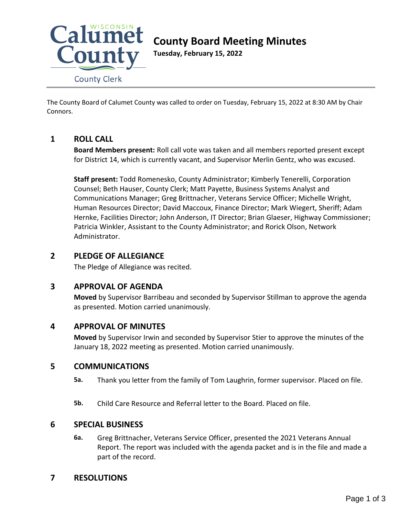

# **County Board Meeting Minutes**

**Tuesday, February 15, 2022**

The County Board of Calumet County was called to order on Tuesday, February 15, 2022 at 8:30 AM by Chair Connors.

# **1 ROLL CALL**

**Board Members present:** Roll call vote was taken and all members reported present except for District 14, which is currently vacant, and Supervisor Merlin Gentz, who was excused.

**Staff present:** Todd Romenesko, County Administrator; Kimberly Tenerelli, Corporation Counsel; Beth Hauser, County Clerk; Matt Payette, Business Systems Analyst and Communications Manager; Greg Brittnacher, Veterans Service Officer; Michelle Wright, Human Resources Director; David Maccoux, Finance Director; Mark Wiegert, Sheriff; Adam Hernke, Facilities Director; John Anderson, IT Director; Brian Glaeser, Highway Commissioner; Patricia Winkler, Assistant to the County Administrator; and Rorick Olson, Network Administrator.

### **2 PLEDGE OF ALLEGIANCE**

The Pledge of Allegiance was recited.

# **3 APPROVAL OF AGENDA**

**Moved** by Supervisor Barribeau and seconded by Supervisor Stillman to approve the agenda as presented. Motion carried unanimously.

# **4 APPROVAL OF MINUTES**

**Moved** by Supervisor Irwin and seconded by Supervisor Stier to approve the minutes of the January 18, 2022 meeting as presented. Motion carried unanimously.

### **5 COMMUNICATIONS**

**5a.** Thank you letter from the family of Tom Laughrin, former supervisor. Placed on file.

**5b.** Child Care Resource and Referral letter to the Board. Placed on file.

### **6 SPECIAL BUSINESS**

**6a.** Greg Brittnacher, Veterans Service Officer, presented the 2021 Veterans Annual Report. The report was included with the agenda packet and is in the file and made a part of the record.

# **7 RESOLUTIONS**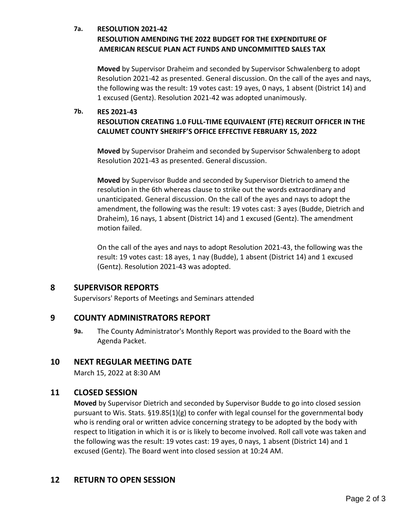### **7a. RESOLUTION 2021-42**

# **RESOLUTION AMENDING THE 2022 BUDGET FOR THE EXPENDITURE OF AMERICAN RESCUE PLAN ACT FUNDS AND UNCOMMITTED SALES TAX**

**Moved** by Supervisor Draheim and seconded by Supervisor Schwalenberg to adopt Resolution 2021-42 as presented. General discussion. On the call of the ayes and nays, the following was the result: 19 votes cast: 19 ayes, 0 nays, 1 absent (District 14) and 1 excused (Gentz). Resolution 2021-42 was adopted unanimously.

#### **7b. RES 2021-43**

### **RESOLUTION CREATING 1.0 FULL-TIME EQUIVALENT (FTE) RECRUIT OFFICER IN THE CALUMET COUNTY SHERIFF'S OFFICE EFFECTIVE FEBRUARY 15, 2022**

**Moved** by Supervisor Draheim and seconded by Supervisor Schwalenberg to adopt Resolution 2021-43 as presented. General discussion.

**Moved** by Supervisor Budde and seconded by Supervisor Dietrich to amend the resolution in the 6th whereas clause to strike out the words extraordinary and unanticipated. General discussion. On the call of the ayes and nays to adopt the amendment, the following was the result: 19 votes cast: 3 ayes (Budde, Dietrich and Draheim), 16 nays, 1 absent (District 14) and 1 excused (Gentz). The amendment motion failed.

On the call of the ayes and nays to adopt Resolution 2021-43, the following was the result: 19 votes cast: 18 ayes, 1 nay (Budde), 1 absent (District 14) and 1 excused (Gentz). Resolution 2021-43 was adopted.

# **8 SUPERVISOR REPORTS**

Supervisors' Reports of Meetings and Seminars attended

### **9 COUNTY ADMINISTRATORS REPORT**

**9a.** The County Administrator's Monthly Report was provided to the Board with the Agenda Packet.

### **10 NEXT REGULAR MEETING DATE**

March 15, 2022 at 8:30 AM

### **11 CLOSED SESSION**

**Moved** by Supervisor Dietrich and seconded by Supervisor Budde to go into closed session pursuant to Wis. Stats. §19.85(1)(g) to confer with legal counsel for the governmental body who is rending oral or written advice concerning strategy to be adopted by the body with respect to litigation in which it is or is likely to become involved. Roll call vote was taken and the following was the result: 19 votes cast: 19 ayes, 0 nays, 1 absent (District 14) and 1 excused (Gentz). The Board went into closed session at 10:24 AM.

# **12 RETURN TO OPEN SESSION**